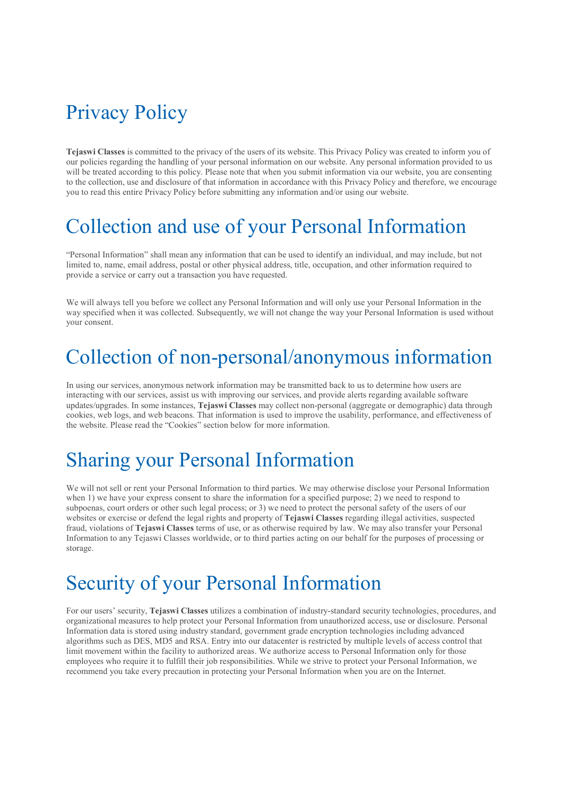## Privacy Policy

Tejaswi Classes is committed to the privacy of the users of its website. This Privacy Policy was created to inform you of our policies regarding the handling of your personal information on our website. Any personal information provided to us will be treated according to this policy. Please note that when you submit information via our website, you are consenting to the collection, use and disclosure of that information in accordance with this Privacy Policy and therefore, we encourage you to read this entire Privacy Policy before submitting any information and/or using our website.

#### Collection and use of your Personal Information

"Personal Information" shall mean any information that can be used to identify an individual, and may include, but not limited to, name, email address, postal or other physical address, title, occupation, and other information required to provide a service or carry out a transaction you have requested.

We will always tell you before we collect any Personal Information and will only use your Personal Information in the way specified when it was collected. Subsequently, we will not change the way your Personal Information is used without your consent.

#### Collection of non-personal/anonymous information

In using our services, anonymous network information may be transmitted back to us to determine how users are interacting with our services, assist us with improving our services, and provide alerts regarding available software updates/upgrades. In some instances, Tejaswi Classes may collect non-personal (aggregate or demographic) data through cookies, web logs, and web beacons. That information is used to improve the usability, performance, and effectiveness of the website. Please read the "Cookies" section below for more information.

### Sharing your Personal Information

We will not sell or rent your Personal Information to third parties. We may otherwise disclose your Personal Information when 1) we have your express consent to share the information for a specified purpose; 2) we need to respond to subpoenas, court orders or other such legal process; or 3) we need to protect the personal safety of the users of our websites or exercise or defend the legal rights and property of Tejaswi Classes regarding illegal activities, suspected fraud, violations of Tejaswi Classes terms of use, or as otherwise required by law. We may also transfer your Personal Information to any Tejaswi Classes worldwide, or to third parties acting on our behalf for the purposes of processing or storage.

### Security of your Personal Information

For our users' security, Tejaswi Classes utilizes a combination of industry-standard security technologies, procedures, and organizational measures to help protect your Personal Information from unauthorized access, use or disclosure. Personal Information data is stored using industry standard, government grade encryption technologies including advanced algorithms such as DES, MD5 and RSA. Entry into our datacenter is restricted by multiple levels of access control that limit movement within the facility to authorized areas. We authorize access to Personal Information only for those employees who require it to fulfill their job responsibilities. While we strive to protect your Personal Information, we recommend you take every precaution in protecting your Personal Information when you are on the Internet.